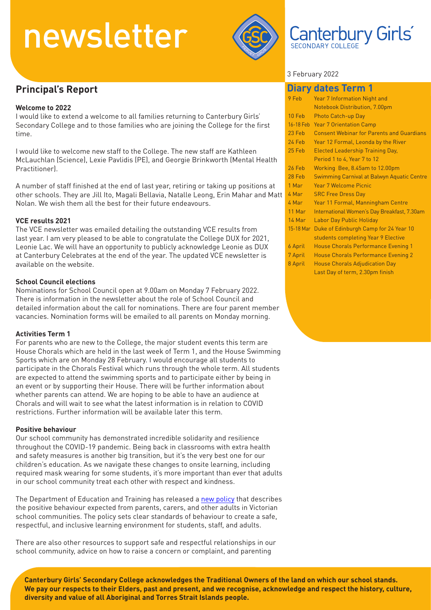

### **Principal's Report**

#### **Welcome to 2022**

I would like to extend a welcome to all families returning to Canterbury Girls' Secondary College and to those families who are joining the College for the first time.

I would like to welcome new staff to the College. The new staff are Kathleen McLauchlan (Science), Lexie Pavlidis (PE), and Georgie Brinkworth (Mental Health Practitioner).

A number of staff finished at the end of last year, retiring or taking up positions at other schools. They are Jill Ito, Magali Bellavia, Natalle Leong, Erin Mahar and Matt Nolan. We wish them all the best for their future endeavours.

#### **VCE results 2021**

The VCE newsletter was emailed detailing the outstanding VCE results from last year. I am very pleased to be able to congratulate the College DUX for 2021, Leonie Lac. We will have an opportunity to publicly acknowledge Leonie as DUX at Canterbury Celebrates at the end of the year. The updated VCE newsletter is available on the website.

#### **School Council elections**

Nominations for School Council open at 9.00am on Monday 7 February 2022. There is information in the newsletter about the role of School Council and detailed information about the call for nominations. There are four parent member vacancies. Nomination forms will be emailed to all parents on Monday morning.

#### **Activities Term 1**

For parents who are new to the College, the major student events this term are House Chorals which are held in the last week of Term 1, and the House Swimming Sports which are on Monday 28 February. I would encourage all students to participate in the Chorals Festival which runs through the whole term. All students are expected to attend the swimming sports and to participate either by being in an event or by supporting their House. There will be further information about whether parents can attend. We are hoping to be able to have an audience at Chorals and will wait to see what the latest information is in relation to COVID restrictions. Further information will be available later this term.

#### **Positive behaviour**

Our school community has demonstrated incredible solidarity and resilience throughout the COVID-19 pandemic. Being back in classrooms with extra health and safety measures is another big transition, but it's the very best one for our children's education. As we navigate these changes to onsite learning, including required mask wearing for some students, it's more important than ever that adults in our school community treat each other with respect and kindness.

The Department of Education and Training has released a [new policy](https://www.education.vic.gov.au/Pages/Respectful-Behaviours-within-the-School-Community-Policy.aspx) that describes the positive behaviour expected from parents, carers, and other adults in Victorian school communities. The policy sets clear standards of behaviour to create a safe, respectful, and inclusive learning environment for students, staff, and adults.

There are also other resources to support safe and respectful relationships in our school community, advice on how to raise a concern or complaint, and parenting

#### 3 February 2022

|               | <b>Diary dates Term 1</b>                        |
|---------------|--------------------------------------------------|
| 9 Feb         | <b>Year 7 Information Night and</b>              |
|               | Notebook Distribution, 7.00pm                    |
| 10 Feb        | Photo Catch-up Day                               |
| 16-18 Feb     | <b>Year 7 Orientation Camp</b>                   |
| 23 Feb        | <b>Consent Webinar for Parents and Guardians</b> |
| 24 Feb        | Year 12 Formal, Leonda by the River              |
| 25 Feb        | <b>Elected Leadership Training Day,</b>          |
|               | Period 1 to 4, Year 7 to 12                      |
| <b>26 Feb</b> | Working Bee, 8.45am to 12.00pm                   |
| 28 Feb        | Swimming Carnival at Balwyn Aquatic Centre       |
| 1 Mar         | Year 7 Welcome Picnic                            |
| 4 Mar         | <b>SRC Free Dress Day</b>                        |
| 4 Mar         | Year 11 Formal, Manningham Centre                |
| $11$ Mar      | International Women's Day Breakfast, 7.30am      |
| 14 Mar        | <b>Labor Day Public Holiday</b>                  |
| 15-18 Mar     | Duke of Edinburgh Camp for 24 Year 10            |
|               | students completing Year 9 Elective              |
| 6 April       | <b>House Chorals Performance Evening 1</b>       |
| 7 April       | House Chorals Performance Evening 2              |
| 8 April       | <b>House Chorals Adjudication Day</b>            |
|               | Last Day of term, 2.30pm finish                  |

Canterbury Girls

**Canterbury Girls' Secondary College acknowledges the Traditional Owners of the land on which our school stands. We pay our respects to their Elders, past and present, and we recognise, acknowledge and respect the history, culture, diversity and value of all Aboriginal and Torres Strait Islands people.**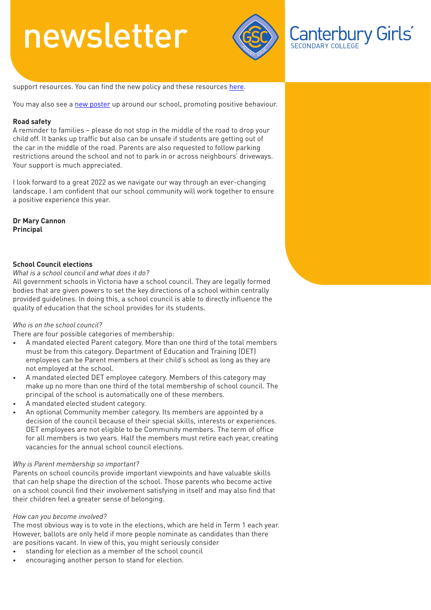

Canterbury Girls®

support resources. You can find the new policy and these resources [here.](https://www.vic.gov.au/education-information-parents?Redirect=1)

You may also see a [new poster](https://www.education.vic.gov.au/hrweb/Documents/OHS/Parentposter-SafetyatWork.pdf) up around our school, promoting positive behaviour.

#### **Road safety**

A reminder to families – please do not stop in the middle of the road to drop your child off. It banks up traffic but also can be unsafe if students are getting out of the car in the middle of the road. Parents are also requested to follow parking restrictions around the school and not to park in or across neighbours' driveways. Your support is much appreciated.

I look forward to a great 2022 as we navigate our way through an ever-changing landscape. I am confident that our school community will work together to ensure a positive experience this year.

**Dr Mary Cannon Principal**

#### **School Council elections**

*What is a school council and what does it do?*

All government schools in Victoria have a school council. They are legally formed bodies that are given powers to set the key directions of a school within centrally provided guidelines. In doing this, a school council is able to directly influence the quality of education that the school provides for its students.

#### *Who is on the school council?*

There are four possible categories of membership:

- A mandated elected Parent category. More than one third of the total members must be from this category. Department of Education and Training (DET) employees can be Parent members at their child's school as long as they are not employed at the school.
- A mandated elected DET employee category. Members of this category may make up no more than one third of the total membership of school council. The principal of the school is automatically one of these members.
- A mandated elected student category.
- An optional Community member category. Its members are appointed by a decision of the council because of their special skills, interests or experiences. DET employees are not eligible to be Community members. The term of office for all members is two years. Half the members must retire each year, creating vacancies for the annual school council elections.

#### *Why is Parent membership so important?*

Parents on school councils provide important viewpoints and have valuable skills that can help shape the direction of the school. Those parents who become active on a school council find their involvement satisfying in itself and may also find that their children feel a greater sense of belonging.

#### *How can you become involved?*

The most obvious way is to vote in the elections, which are held in Term 1 each year. However, ballots are only held if more people nominate as candidates than there are positions vacant. In view of this, you might seriously consider

- standing for election as a member of the school council
- encouraging another person to stand for election.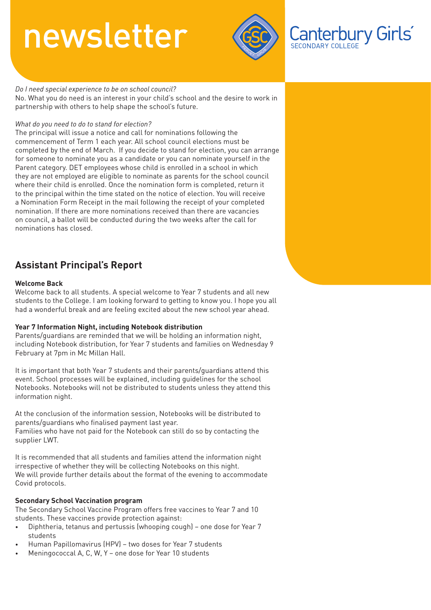

Canterbury Girls

#### *Do I need special experience to be on school council?*

No. What you do need is an interest in your child's school and the desire to work in partnership with others to help shape the school's future.

#### *What do you need to do to stand for election?*

The principal will issue a notice and call for nominations following the commencement of Term 1 each year. All school council elections must be completed by the end of March. If you decide to stand for election, you can arrange for someone to nominate you as a candidate or you can nominate yourself in the Parent category. DET employees whose child is enrolled in a school in which they are not employed are eligible to nominate as parents for the school council where their child is enrolled. Once the nomination form is completed, return it to the principal within the time stated on the notice of election. You will receive a Nomination Form Receipt in the mail following the receipt of your completed nomination. If there are more nominations received than there are vacancies on council, a ballot will be conducted during the two weeks after the call for nominations has closed.

### **Assistant Principal's Report**

#### **Welcome Back**

Welcome back to all students. A special welcome to Year 7 students and all new students to the College. I am looking forward to getting to know you. I hope you all had a wonderful break and are feeling excited about the new school year ahead.

#### **Year 7 Information Night, including Notebook distribution**

Parents/guardians are reminded that we will be holding an information night, including Notebook distribution, for Year 7 students and families on Wednesday 9 February at 7pm in Mc Millan Hall.

It is important that both Year 7 students and their parents/guardians attend this event. School processes will be explained, including guidelines for the school Notebooks. Notebooks will not be distributed to students unless they attend this information night.

At the conclusion of the information session, Notebooks will be distributed to parents/guardians who finalised payment last year. Families who have not paid for the Notebook can still do so by contacting the supplier LWT.

It is recommended that all students and families attend the information night irrespective of whether they will be collecting Notebooks on this night. We will provide further details about the format of the evening to accommodate Covid protocols.

#### **Secondary School Vaccination program**

The Secondary School Vaccine Program offers free vaccines to Year 7 and 10 students. These vaccines provide protection against:

- Diphtheria, tetanus and pertussis (whooping cough) one dose for Year 7 students
- Human Papillomavirus (HPV) two doses for Year 7 students
- Meningococcal A, C, W, Y one dose for Year 10 students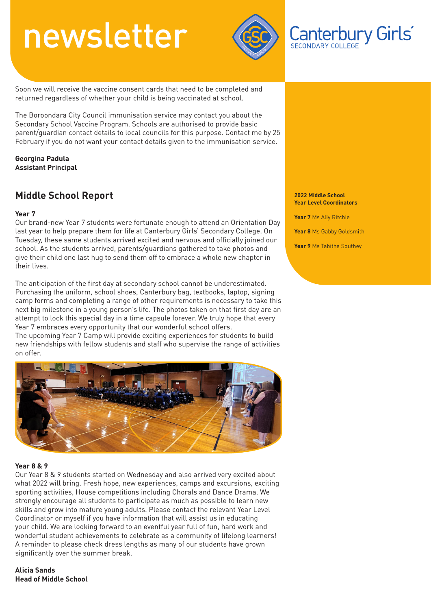

Soon we will receive the vaccine consent cards that need to be completed and returned regardless of whether your child is being vaccinated at school.

The Boroondara City Council immunisation service may contact you about the Secondary School Vaccine Program. Schools are authorised to provide basic parent/guardian contact details to local councils for this purpose. Contact me by 25 February if you do not want your contact details given to the immunisation service.

**Georgina Padula Assistant Principal**

### **Middle School Report**

#### **Year 7**

Our brand-new Year 7 students were fortunate enough to attend an Orientation Day last year to help prepare them for life at Canterbury Girls' Secondary College. On Tuesday, these same students arrived excited and nervous and officially joined our school. As the students arrived, parents/guardians gathered to take photos and give their child one last hug to send them off to embrace a whole new chapter in their lives.

The anticipation of the first day at secondary school cannot be underestimated. Purchasing the uniform, school shoes, Canterbury bag, textbooks, laptop, signing camp forms and completing a range of other requirements is necessary to take this next big milestone in a young person's life. The photos taken on that first day are an attempt to lock this special day in a time capsule forever. We truly hope that every Year 7 embraces every opportunity that our wonderful school offers.

The upcoming Year 7 Camp will provide exciting experiences for students to build new friendships with fellow students and staff who supervise the range of activities on offer.



#### **Year 8 & 9**

Our Year 8 & 9 students started on Wednesday and also arrived very excited about what 2022 will bring. Fresh hope, new experiences, camps and excursions, exciting sporting activities, House competitions including Chorals and Dance Drama. We strongly encourage all students to participate as much as possible to learn new skills and grow into mature young adults. Please contact the relevant Year Level Coordinator or myself if you have information that will assist us in educating your child. We are looking forward to an eventful year full of fun, hard work and wonderful student achievements to celebrate as a community of lifelong learners! A reminder to please check dress lengths as many of our students have grown significantly over the summer break.

**Alicia Sands Head of Middle School**

#### **2022 Middle School Year Level Coordinators**

Canterbury Girls®

**Year 7** Ms Ally Ritchie **Year 8** Ms Gabby Goldsmith

**Year 9** Ms Tabitha Southey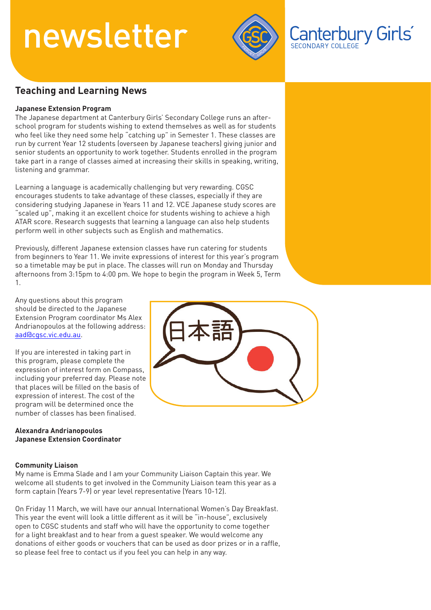

Canterbury Girls

### **Teaching and Learning News**

#### **Japanese Extension Program**

The Japanese department at Canterbury Girls' Secondary College runs an afterschool program for students wishing to extend themselves as well as for students who feel like they need some help "catching up" in Semester 1. These classes are run by current Year 12 students (overseen by Japanese teachers) giving junior and senior students an opportunity to work together. Students enrolled in the program take part in a range of classes aimed at increasing their skills in speaking, writing, listening and grammar.

Learning a language is academically challenging but very rewarding. CGSC encourages students to take advantage of these classes, especially if they are considering studying Japanese in Years 11 and 12. VCE Japanese study scores are "scaled up", making it an excellent choice for students wishing to achieve a high ATAR score. Research suggests that learning a language can also help students perform well in other subjects such as English and mathematics.

Previously, different Japanese extension classes have run catering for students from beginners to Year 11. We invite expressions of interest for this year's program so a timetable may be put in place. The classes will run on Monday and Thursday afternoons from 3:15pm to 4:00 pm. We hope to begin the program in Week 5, Term 1.

Any questions about this program should be directed to the Japanese Extension Program coordinator Ms Alex Andrianopoulos at the following address: aad@cgsc.vic.edu.au.

If you are interested in taking part in this program, please complete the expression of interest form on Compass, including your preferred day. Please note that places will be filled on the basis of expression of interest. The cost of the program will be determined once the number of classes has been finalised.

#### **Alexandra Andrianopoulos Japanese Extension Coordinator**

#### **Community Liaison**

My name is Emma Slade and I am your Community Liaison Captain this year. We welcome all students to get involved in the Community Liaison team this year as a form captain (Years 7-9) or year level representative (Years 10-12).

On Friday 11 March, we will have our annual International Women's Day Breakfast. This year the event will look a little different as it will be "in-house", exclusively open to CGSC students and staff who will have the opportunity to come together for a light breakfast and to hear from a guest speaker. We would welcome any donations of either goods or vouchers that can be used as door prizes or in a raffle, so please feel free to contact us if you feel you can help in any way.

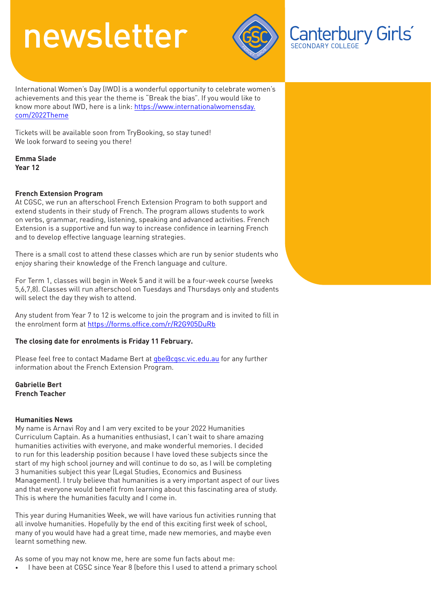

Canterbury Girls®

International Women's Day (IWD) is a wonderful opportunity to celebrate women's achievements and this year the theme is "Break the bias". If you would like to [know more about IWD, here is a link: https://www.internationalwomensday.](https://www.internationalwomensday.com/2022Theme) com/2022Theme

Tickets will be available soon from TryBooking, so stay tuned! We look forward to seeing you there!

**Emma Slade Year 12**

#### **French Extension Program**

At CGSC, we run an afterschool French Extension Program to both support and extend students in their study of French. The program allows students to work on verbs, grammar, reading, listening, speaking and advanced activities. French Extension is a supportive and fun way to increase confidence in learning French and to develop effective language learning strategies.

There is a small cost to attend these classes which are run by senior students who enjoy sharing their knowledge of the French language and culture.

For Term 1, classes will begin in Week 5 and it will be a four-week course (weeks 5,6,7,8). Classes will run afterschool on Tuesdays and Thursdays only and students will select the day they wish to attend.

Any student from Year 7 to 12 is welcome to join the program and is invited to fill in the enrolment form at https://forms.office.com/r/R2G905DuRb

#### **The closing date for enrolments is Friday 11 February.**

Please feel free to contact Madame Bert at gbe@cgsc.vic.edu.au for any further information about the French Extension Program.

**Gabrielle Bert French Teacher**

#### **Humanities News**

My name is Arnavi Roy and I am very excited to be your 2022 Humanities Curriculum Captain. As a humanities enthusiast, I can't wait to share amazing humanities activities with everyone, and make wonderful memories. I decided to run for this leadership position because I have loved these subjects since the start of my high school journey and will continue to do so, as I will be completing 3 humanities subject this year (Legal Studies, Economics and Business Management). I truly believe that humanities is a very important aspect of our lives and that everyone would benefit from learning about this fascinating area of study. This is where the humanities faculty and I come in.

This year during Humanities Week, we will have various fun activities running that all involve humanities. Hopefully by the end of this exciting first week of school, many of you would have had a great time, made new memories, and maybe even learnt something new.

As some of you may not know me, here are some fun facts about me:

• I have been at CGSC since Year 8 (before this I used to attend a primary school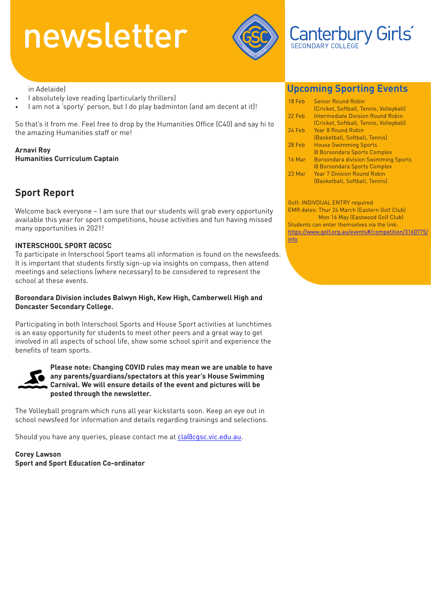

### Canterbury Girls

in Adelaide)

- I absolutely love reading (particularly thrillers)
- I am not a 'sporty' person, but I do play badminton (and am decent at it)!

So that's it from me. Feel free to drop by the Humanities Office (C40) and say hi to the amazing Humanities staff or me!

**Arnavi Roy Humanities Curriculum Captain**

### **Sport Report**

Welcome back everyone – I am sure that our students will grab every opportunity available this year for sport competitions, house activities and fun having missed many opportunities in 2021!

#### **INTERSCHOOL SPORT @CGSC**

To participate in Interschool Sport teams all information is found on the newsfeeds. It is important that students firstly sign-up via insights on compass, then attend meetings and selections (where necessary) to be considered to represent the school at these events.

#### **Boroondara Division includes Balwyn High, Kew High, Camberwell High and Doncaster Secondary College.**

Participating in both Interschool Sports and House Sport activities at lunchtimes is an easy opportunity for students to meet other peers and a great way to get involved in all aspects of school life, show some school spirit and experience the benefits of team sports.



**Please note: Changing COVID rules may mean we are unable to have any parents/guardians/spectators at this year's House Swimming Carnival. We will ensure details of the event and pictures will be posted through the newsletter.**

The Volleyball program which runs all year kickstarts soon. Keep an eye out in school newsfeed for information and details regarding trainings and selections.

Should you have any queries, please contact me at cla@cgsc.vic.edu.au.

**Corey Lawson Sport and Sport Education Co-ordinator**

### **Upcoming Sporting Events**

| 18 Feb   | <b>Senior Round Robin</b><br>(Cricket, Softball, Tennis, Volleyball)                                       |
|----------|------------------------------------------------------------------------------------------------------------|
| 22 Feb   | Intermediate Division Round Robin<br>(Cricket, Softball, Tennis, Volleyball)                               |
| 24 Feb   | Year 8 Round Robin<br>(Basketball, Softball, Tennis)                                                       |
| 28 Feb   | <b>House Swimming Sports</b><br><b>G</b> Boroondara Sports Complex                                         |
| $16$ Mar | <b>Boroondara division Swimming Sports</b>                                                                 |
| 23 Mar   | <b>Q Boroondara Sports Complex</b><br><b>Year 7 Division Round Robin</b><br>(Basketball, Softball, Tennis) |

Golf: INDIVDUAL ENTRY required EMR dates: Thur 24 March (Eastern Golf Club) Mon 16 May (Eastwood Golf Club) Students can enter themselves via the link: https://www.golf.org.au/events#/competition/3160775/ info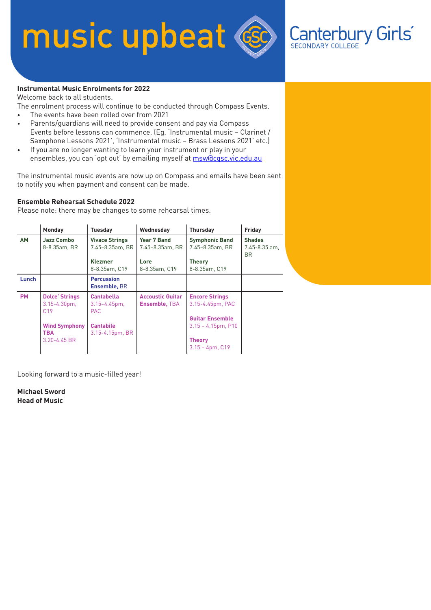# music upbeat



#### **Instrumental Music Enrolments for 2022**

Welcome back to all students.

The enrolment process will continue to be conducted through Compass Events.

- The events have been rolled over from 2021
- Parents/guardians will need to provide consent and pay via Compass Events before lessons can commence. (Eg. 'Instrumental music – Clarinet / Saxophone Lessons 2021', 'Instrumental music – Brass Lessons 2021' etc.)
- If you are no longer wanting to learn your instrument or play in your ensembles, you can 'opt out' by emailing myself at msw@cgsc.vic.edu.au

The instrumental music events are now up on Compass and emails have been sent to notify you when payment and consent can be made.

#### **Ensemble Rehearsal Schedule 2022**

Please note: there may be changes to some rehearsal times.

|           | Monday                                                      | <b>Tuesday</b>                                       | Wednesday                                       | <b>Thursday</b>                                                     | Friday                                    |
|-----------|-------------------------------------------------------------|------------------------------------------------------|-------------------------------------------------|---------------------------------------------------------------------|-------------------------------------------|
| <b>AM</b> | <b>Jazz Combo</b><br>8-8.35am, BR                           | <b>Vivace Strings</b><br>7.45-8.35am, BR             | <b>Year 7 Band</b><br>7.45-8.35am, BR           | <b>Symphonic Band</b><br>7.45-8.35am, BR                            | <b>Shades</b><br>$7.45 - 8.35$ am,<br>BR. |
|           |                                                             | <b>Klezmer</b><br>8-8.35am, C19                      | Lore<br>8-8.35am, C19                           | <b>Theory</b><br>8-8.35am. C19                                      |                                           |
| Lunch     |                                                             | <b>Percussion</b><br>Ensemble, BR                    |                                                 |                                                                     |                                           |
| <b>PM</b> | <b>Dolce' Strings</b><br>$3.15 - 4.30pm$<br>C <sub>19</sub> | <b>Cantabella</b><br>$3.15 - 4.45$ pm,<br><b>PAC</b> | <b>Accoustic Guitar</b><br><b>Ensemble, TBA</b> | <b>Encore Strings</b><br>3.15-4.45pm, PAC<br><b>Guitar Ensemble</b> |                                           |
|           | <b>Wind Symphony</b><br><b>TBA</b>                          | <b>Cantabile</b><br>3.15-4.15pm, BR                  |                                                 | $3.15 - 4.15$ pm, P10                                               |                                           |
|           | $3.20 - 4.45$ BR                                            |                                                      |                                                 | <b>Theory</b><br>$3.15 - 4pm$ , C19                                 |                                           |

Looking forward to a music-filled year!

**Michael Sword Head of Music**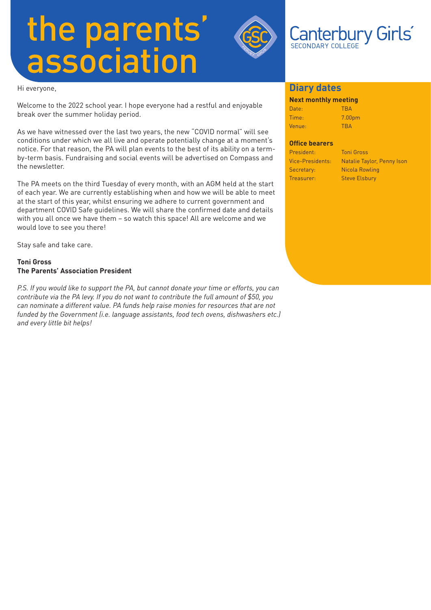# the parents' association



Hi everyone,

Welcome to the 2022 school year. I hope everyone had a restful and enjoyable break over the summer holiday period.

As we have witnessed over the last two years, the new "COVID normal" will see conditions under which we all live and operate potentially change at a moment's notice. For that reason, the PA will plan events to the best of its ability on a termby-term basis. Fundraising and social events will be advertised on Compass and the newsletter.

The PA meets on the third Tuesday of every month, with an AGM held at the start of each year. We are currently establishing when and how we will be able to meet at the start of this year, whilst ensuring we adhere to current government and department COVID Safe guidelines. We will share the confirmed date and details with you all once we have them – so watch this space! All are welcome and we would love to see you there!

Stay safe and take care.

#### **Toni Gross The Parents' Association President**

*P.S. If you would like to support the PA, but cannot donate your time or efforts, you can contribute via the PA levy. If you do not want to contribute the full amount of \$50, you can nominate a different value. PA funds help raise monies for resources that are not funded by the Government (i.e. language assistants, food tech ovens, dishwashers etc.) and every little bit helps!*

#### **Diary dates**

#### **Next monthly meeting**

| Date:  | <b>TRA</b>         |
|--------|--------------------|
| Time:  | 7.00 <sub>pm</sub> |
| Venue: | <b>TBA</b>         |

#### **Office bearers**

| President:              | <b>Toni Gross</b>          |
|-------------------------|----------------------------|
| <b>Vice-Presidents:</b> | Natalie Taylor, Penny Ison |
| Secretary:              | Nicola Rowling             |
| Treasurer:              | <b>Steve Elsbury</b>       |
|                         |                            |

Canterbury Girls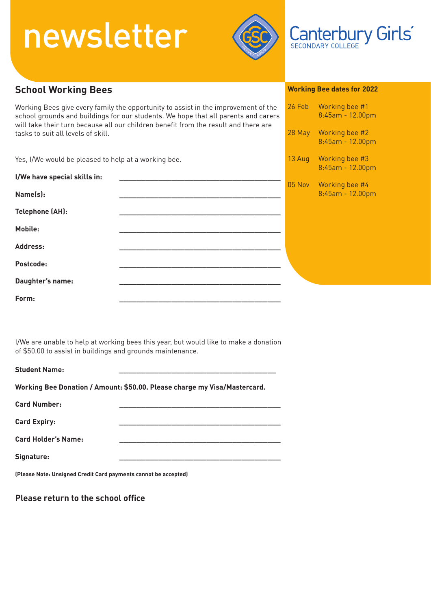

### SECONDARY COLLEGE

Canterbury Girls®

#### **School Working Bees** Working Bees give every family the opportunity to assist in the improvement of the school grounds and buildings for our students. We hope that all parents and carers will take their turn because all our children benefit from the result and there are tasks to suit all levels of skill. Yes, I/We would be pleased to help at a working bee. **I/We have special skills in: \_\_\_\_\_\_\_\_\_\_\_\_\_\_\_\_\_\_\_\_\_\_\_\_\_\_\_\_\_\_\_\_\_\_\_\_\_ Name(s): \_\_\_\_\_\_\_\_\_\_\_\_\_\_\_\_\_\_\_\_\_\_\_\_\_\_\_\_\_\_\_\_\_\_\_\_\_** Telephone (AH): **Mobile: \_\_\_\_\_\_\_\_\_\_\_\_\_\_\_\_\_\_\_\_\_\_\_\_\_\_\_\_\_\_\_\_\_\_\_\_\_ Address: \_\_\_\_\_\_\_\_\_\_\_\_\_\_\_\_\_\_\_\_\_\_\_\_\_\_\_\_\_\_\_\_\_\_\_\_\_**  Postcode: Daughter's name: **Form: \_\_\_\_\_\_\_\_\_\_\_\_\_\_\_\_\_\_\_\_\_\_\_\_\_\_\_\_\_\_\_\_\_\_\_\_\_ Working Bee dates for 2022** 26 Feb Working bee #1 8:45am - 12.00pm 28 May Working bee #2 8:45am - 12.00pm 13 Aug Working bee #3 8:45am - 12.00pm 05 Nov Working bee #4 8:45am - 12.00pm

I/We are unable to help at working bees this year, but would like to make a donation of \$50.00 to assist in buildings and grounds maintenance.

| <b>Student Name:</b>                                            |                                                                           |
|-----------------------------------------------------------------|---------------------------------------------------------------------------|
|                                                                 | Working Bee Donation / Amount: \$50.00. Please charge my Visa/Mastercard. |
| <b>Card Number:</b>                                             |                                                                           |
| <b>Card Expiry:</b>                                             |                                                                           |
| <b>Card Holder's Name:</b>                                      |                                                                           |
| Signature:                                                      |                                                                           |
| (Please Note: Unsigned Credit Card payments cannot be accepted) |                                                                           |

**Please return to the school office**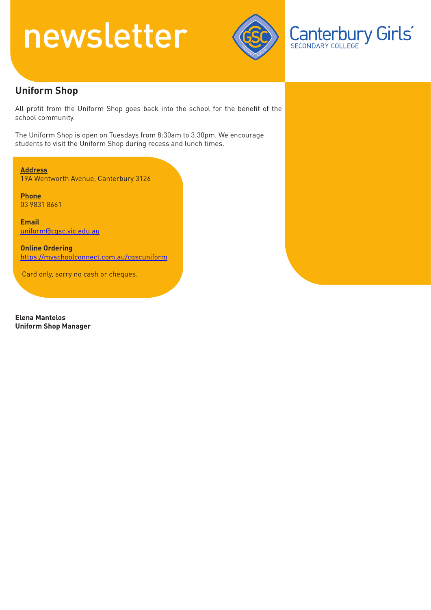

**Canterbury Girls** 

### **Uniform Shop**

All profit from the Uniform Shop goes back into the school for the benefit of the school community.

The Uniform Shop is open on Tuesdays from 8:30am to 3:30pm. We encourage students to visit the Uniform Shop during recess and lunch times.

**Address**

19A Wentworth Avenue, Canterbury 3126

**Phone** 03 9831 8661

**Email** uniform@cgsc.vic.edu.au

**Online Ordering** https://myschoolconnect.com.au/cgscuniform

Card only, sorry no cash or cheques.

**Elena Mantelos Uniform Shop Manager**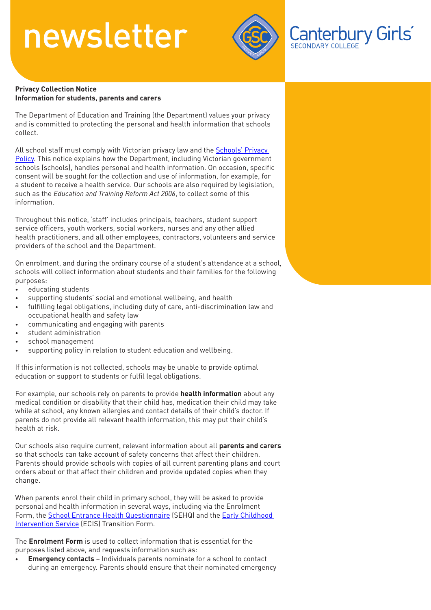

### Canterbury Girls®

#### **Privacy Collection Notice Information for students, parents and carers**

The Department of Education and Training (the Department) values your privacy and is committed to protecting the personal and health information that schools collect.

[All school staff must comply with Victorian privacy law and the Schools' Privacy](https://www.education.vic.gov.au/Pages/schoolsprivacypolicy.aspx)  Policy. This notice explains how the Department, including Victorian government schools (schools), handles personal and health information. On occasion, specific consent will be sought for the collection and use of information, for example, for a student to receive a health service. Our schools are also required by legislation, such as the *Education and Training Reform Act 2006*, to collect some of this information.

Throughout this notice, 'staff' includes principals, teachers, student support service officers, youth workers, social workers, nurses and any other allied health practitioners, and all other employees, contractors, volunteers and service providers of the school and the Department.

On enrolment, and during the ordinary course of a student's attendance at a school, schools will collect information about students and their families for the following purposes:

- educating students
- supporting students' social and emotional wellbeing, and health
- fulfilling legal obligations, including duty of care, anti-discrimination law and occupational health and safety law
- communicating and engaging with parents
- student administration
- school management
- supporting policy in relation to student education and wellbeing.

If this information is not collected, schools may be unable to provide optimal education or support to students or fulfil legal obligations.

For example, our schools rely on parents to provide **health information** about any medical condition or disability that their child has, medication their child may take while at school, any known allergies and contact details of their child's doctor. If parents do not provide all relevant health information, this may put their child's health at risk.

Our schools also require current, relevant information about all **parents and carers** so that schools can take account of safety concerns that affect their children. Parents should provide schools with copies of all current parenting plans and court orders about or that affect their children and provide updated copies when they change.

When parents enrol their child in primary school, they will be asked to provide personal and health information in several ways, including via the Enrolment [Form, the S](https://www.education.vic.gov.au/childhood/professionals/needs/Pages/ecisabout.aspx)[chool Entrance Health Questionnair](https://www.education.vic.gov.au/about/research/Pages/reportdatahealth.aspx)[e \(SEHQ\) and the Early Childhood](https://www.education.vic.gov.au/childhood/professionals/needs/Pages/ecisabout.aspx)  Intervention Service (ECIS) Transition Form.

The **Enrolment Form** is used to collect information that is essential for the purposes listed above, and requests information such as:

• **Emergency contacts** – Individuals parents nominate for a school to contact during an emergency. Parents should ensure that their nominated emergency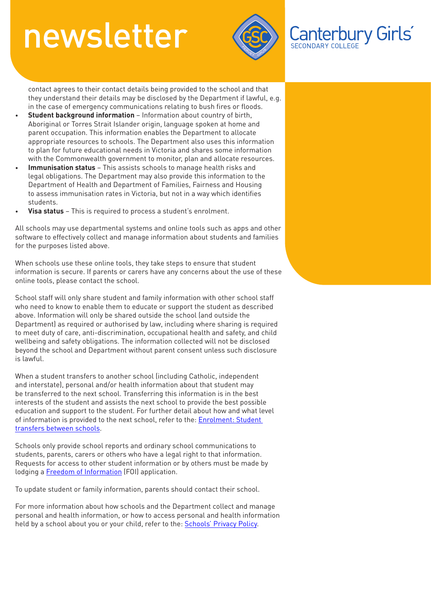

Canterbury Girls

contact agrees to their contact details being provided to the school and that they understand their details may be disclosed by the Department if lawful, e.g. in the case of emergency communications relating to bush fires or floods.

- **Student background information** Information about country of birth, Aboriginal or Torres Strait Islander origin, language spoken at home and parent occupation. This information enables the Department to allocate appropriate resources to schools. The Department also uses this information to plan for future educational needs in Victoria and shares some information with the Commonwealth government to monitor, plan and allocate resources.
- **Immunisation status** This assists schools to manage health risks and legal obligations. The Department may also provide this information to the Department of Health and Department of Families, Fairness and Housing to assess immunisation rates in Victoria, but not in a way which identifies students.
- **Visa status** This is required to process a student's enrolment.

All schools may use departmental systems and online tools such as apps and other software to effectively collect and manage information about students and families for the purposes listed above.

When schools use these online tools, they take steps to ensure that student information is secure. If parents or carers have any concerns about the use of these online tools, please contact the school.

School staff will only share student and family information with other school staff who need to know to enable them to educate or support the student as described above. Information will only be shared outside the school (and outside the Department) as required or authorised by law, including where sharing is required to meet duty of care, anti-discrimination, occupational health and safety, and child wellbeing and safety obligations. The information collected will not be disclosed beyond the school and Department without parent consent unless such disclosure is lawful.

When a student transfers to another school (including Catholic, independent and interstate), personal and/or health information about that student may be transferred to the next school. Transferring this information is in the best interests of the student and assists the next school to provide the best possible education and support to the student. For further detail about how and what level [of information is provided to the next school, refer to the: Enrolment: Student](https://www2.education.vic.gov.au/pal/enrolment/guidance/student-transfers-between-schools)  transfers between schools.

Schools only provide school reports and ordinary school communications to students, parents, carers or others who have a legal right to that information. Requests for access to other student information or by others must be made by lodging a [Freedom of Information](https://www.education.vic.gov.au/about/working/Pages/foi.aspx) (FOI) application.

To update student or family information, parents should contact their school.

For more information about how schools and the Department collect and manage personal and health information, or how to access personal and health information held by a school about you or your child, refer to the: [Schools' Privacy Policy.](https://www.education.vic.gov.au/Pages/schoolsprivacypolicy.aspx)